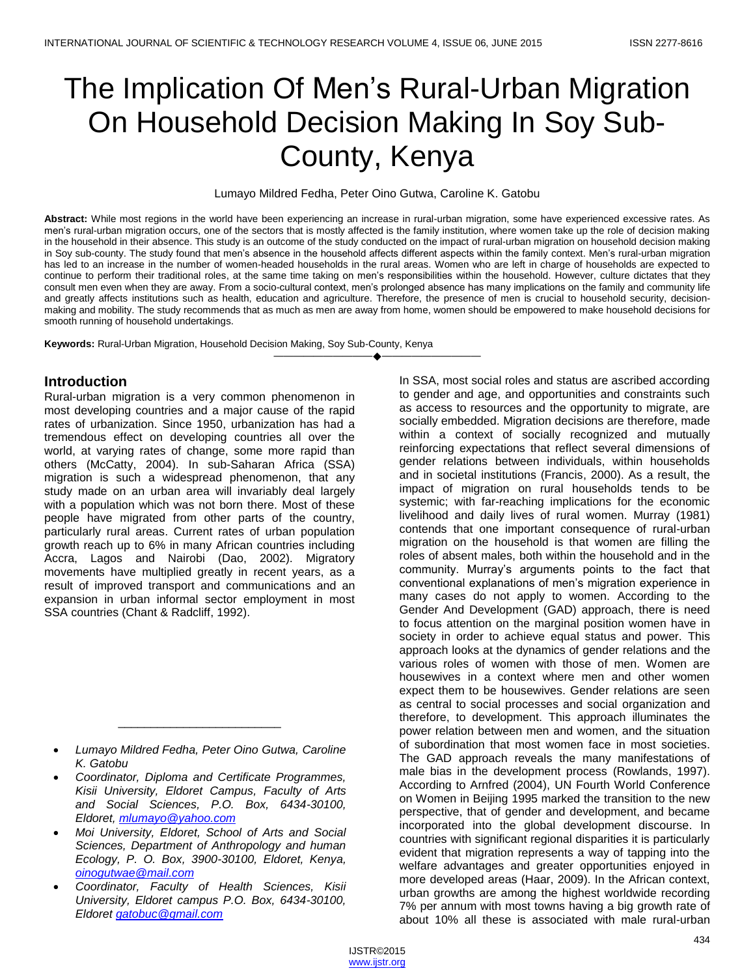# The Implication Of Men's Rural-Urban Migration On Household Decision Making In Soy Sub-County, Kenya

Lumayo Mildred Fedha, Peter Oino Gutwa, Caroline K. Gatobu

**Abstract:** While most regions in the world have been experiencing an increase in rural-urban migration, some have experienced excessive rates. As men's rural-urban migration occurs, one of the sectors that is mostly affected is the family institution, where women take up the role of decision making in the household in their absence. This study is an outcome of the study conducted on the impact of rural-urban migration on household decision making in Soy sub-county. The study found that men's absence in the household affects different aspects within the family context. Men's rural-urban migration has led to an increase in the number of women-headed households in the rural areas. Women who are left in charge of households are expected to continue to perform their traditional roles, at the same time taking on men's responsibilities within the household. However, culture dictates that they consult men even when they are away. From a socio-cultural context, men's prolonged absence has many implications on the family and community life and greatly affects institutions such as health, education and agriculture. Therefore, the presence of men is crucial to household security, decisionmaking and mobility. The study recommends that as much as men are away from home, women should be empowered to make household decisions for smooth running of household undertakings.

————————————————————

**Keywords:** Rural-Urban Migration, Household Decision Making, Soy Sub-County, Kenya

## **Introduction**

Rural-urban migration is a very common phenomenon in most developing countries and a major cause of the rapid rates of urbanization. Since 1950, urbanization has had a tremendous effect on developing countries all over the world, at varying rates of change, some more rapid than others (McCatty, 2004). In sub-Saharan Africa (SSA) migration is such a widespread phenomenon, that any study made on an urban area will invariably deal largely with a population which was not born there. Most of these people have migrated from other parts of the country, particularly rural areas. Current rates of urban population growth reach up to 6% in many African countries including Accra, Lagos and Nairobi (Dao, 2002). Migratory movements have multiplied greatly in recent years, as a result of improved transport and communications and an expansion in urban informal sector employment in most SSA countries (Chant & Radcliff, 1992).

\_\_\_\_\_\_\_\_\_\_\_\_\_\_\_\_\_\_\_\_\_\_\_\_\_

 *Moi University, Eldoret, School of Arts and Social Sciences, Department of Anthropology and human Ecology, P. O. Box, 3900-30100, Eldoret, Kenya, [oinogutwae@mail.com](mailto:oinogutwae@mail.com)*

In SSA, most social roles and status are ascribed according to gender and age, and opportunities and constraints such as access to resources and the opportunity to migrate, are socially embedded. Migration decisions are therefore, made within a context of socially recognized and mutually reinforcing expectations that reflect several dimensions of gender relations between individuals, within households and in societal institutions (Francis, 2000). As a result, the impact of migration on rural households tends to be systemic; with far-reaching implications for the economic livelihood and daily lives of rural women. Murray (1981) contends that one important consequence of rural-urban migration on the household is that women are filling the roles of absent males, both within the household and in the community. Murray's arguments points to the fact that conventional explanations of men's migration experience in many cases do not apply to women. According to the Gender And Development (GAD) approach, there is need to focus attention on the marginal position women have in society in order to achieve equal status and power. This approach looks at the dynamics of gender relations and the various roles of women with those of men. Women are housewives in a context where men and other women expect them to be housewives. Gender relations are seen as central to social processes and social organization and therefore, to development. This approach illuminates the power relation between men and women, and the situation of subordination that most women face in most societies. The GAD approach reveals the many manifestations of male bias in the development process (Rowlands, 1997). According to Arnfred (2004), UN Fourth World Conference on Women in Beijing 1995 marked the transition to the new perspective, that of gender and development, and became incorporated into the global development discourse. In countries with significant regional disparities it is particularly evident that migration represents a way of tapping into the welfare advantages and greater opportunities enjoyed in more developed areas (Haar, 2009). In the African context, urban growths are among the highest worldwide recording 7% per annum with most towns having a big growth rate of about 10% all these is associated with male rural-urban

*Lumayo Mildred Fedha, Peter Oino Gutwa, Caroline K. Gatobu*

*Coordinator, Diploma and Certificate Programmes, Kisii University, Eldoret Campus, Faculty of Arts and Social Sciences, P.O. Box, 6434-30100, Eldoret, [mlumayo@yahoo.com](mailto:mlumayo@yahoo.com)*

*Coordinator, Faculty of Health Sciences, Kisii University, Eldoret campus P.O. Box, 6434-30100, Eldoret [gatobuc@gmail.com](mailto:gatobuc@gmail.com)*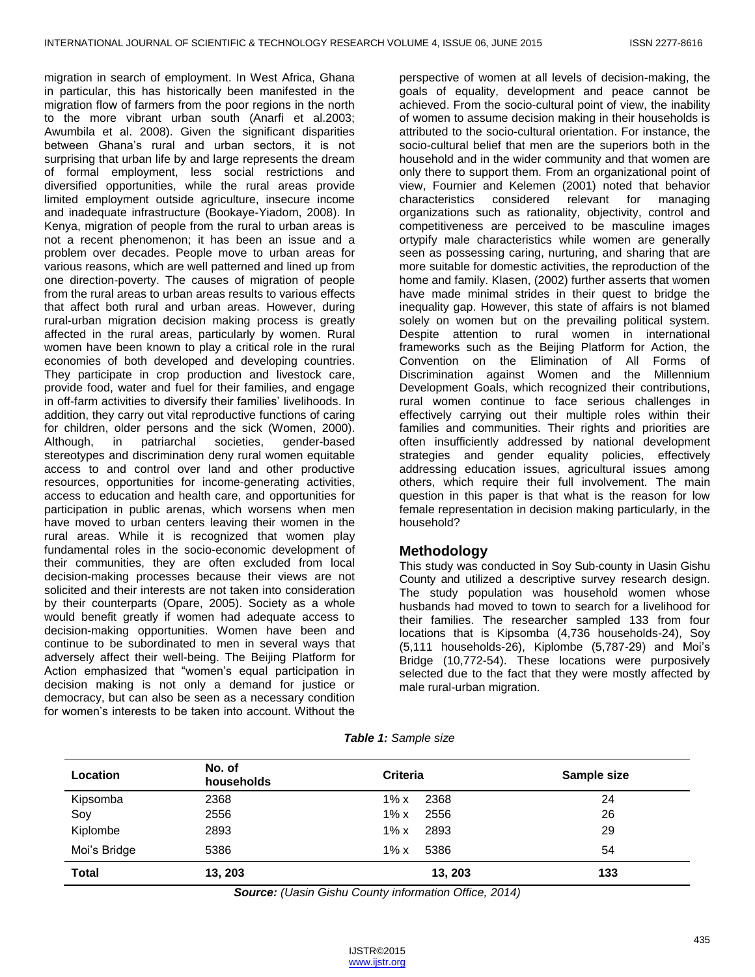migration in search of employment. In West Africa, Ghana in particular, this has historically been manifested in the migration flow of farmers from the poor regions in the north to the more vibrant urban south (Anarfi et al.2003; Awumbila et al. 2008). Given the significant disparities between Ghana's rural and urban sectors, it is not surprising that urban life by and large represents the dream of formal employment, less social restrictions and diversified opportunities, while the rural areas provide limited employment outside agriculture, insecure income and inadequate infrastructure (Bookaye-Yiadom, 2008). In Kenya, migration of people from the rural to urban areas is not a recent phenomenon; it has been an issue and a problem over decades. People move to urban areas for various reasons, which are well patterned and lined up from one direction-poverty. The causes of migration of people from the rural areas to urban areas results to various effects that affect both rural and urban areas. However, during rural-urban migration decision making process is greatly affected in the rural areas, particularly by women. Rural women have been known to play a critical role in the rural economies of both developed and developing countries. They participate in crop production and livestock care, provide food, water and fuel for their families, and engage in off-farm activities to diversify their families' livelihoods. In addition, they carry out vital reproductive functions of caring for children, older persons and the sick (Women, 2000). Although, in patriarchal societies, gender-based stereotypes and discrimination deny rural women equitable access to and control over land and other productive resources, opportunities for income-generating activities, access to education and health care, and opportunities for participation in public arenas, which worsens when men have moved to urban centers leaving their women in the rural areas. While it is recognized that women play fundamental roles in the socio-economic development of their communities, they are often excluded from local decision-making processes because their views are not solicited and their interests are not taken into consideration by their counterparts (Opare, 2005). Society as a whole would benefit greatly if women had adequate access to decision-making opportunities. Women have been and continue to be subordinated to men in several ways that adversely affect their well-being. The Beijing Platform for Action emphasized that "women's equal participation in decision making is not only a demand for justice or democracy, but can also be seen as a necessary condition for women's interests to be taken into account. Without the

perspective of women at all levels of decision-making, the goals of equality, development and peace cannot be achieved. From the socio-cultural point of view, the inability of women to assume decision making in their households is attributed to the socio-cultural orientation. For instance, the socio-cultural belief that men are the superiors both in the household and in the wider community and that women are only there to support them. From an organizational point of view, Fournier and Kelemen (2001) noted that behavior characteristics considered relevant for managing organizations such as rationality, objectivity, control and competitiveness are perceived to be masculine images ortypify male characteristics while women are generally seen as possessing caring, nurturing, and sharing that are more suitable for domestic activities, the reproduction of the home and family. Klasen, (2002) further asserts that women have made minimal strides in their quest to bridge the inequality gap. However, this state of affairs is not blamed solely on women but on the prevailing political system. Despite attention to rural women in international frameworks such as the Beijing Platform for Action, the Convention on the Elimination of All Forms of Discrimination against Women and the Millennium Development Goals, which recognized their contributions, rural women continue to face serious challenges in effectively carrying out their multiple roles within their families and communities. Their rights and priorities are often insufficiently addressed by national development strategies and gender equality policies, effectively addressing education issues, agricultural issues among others, which require their full involvement. The main question in this paper is that what is the reason for low female representation in decision making particularly, in the household?

## **Methodology**

This study was conducted in Soy Sub-county in Uasin Gishu County and utilized a descriptive survey research design. The study population was household women whose husbands had moved to town to search for a livelihood for their families. The researcher sampled 133 from four locations that is Kipsomba (4,736 households-24), Soy (5,111 households-26), Kiplombe (5,787-29) and Moi's Bridge (10,772-54). These locations were purposively selected due to the fact that they were mostly affected by male rural-urban migration.

| Table 1: Sample size |  |  |
|----------------------|--|--|
|                      |  |  |

| Location     | No. of<br>households | <b>Criteria</b> | Sample size |
|--------------|----------------------|-----------------|-------------|
| Kipsomba     | 2368                 | $1\%$ x<br>2368 | 24          |
| Soy          | 2556                 | 2556<br>$1\%$ x | 26          |
| Kiplombe     | 2893                 | $1\%$ x<br>2893 | 29          |
| Moi's Bridge | 5386                 | $1\%$ x<br>5386 | 54          |
| <b>Total</b> | 13, 203              | 13, 203         | 133         |

*Source: (Uasin Gishu County information Office, 2014)*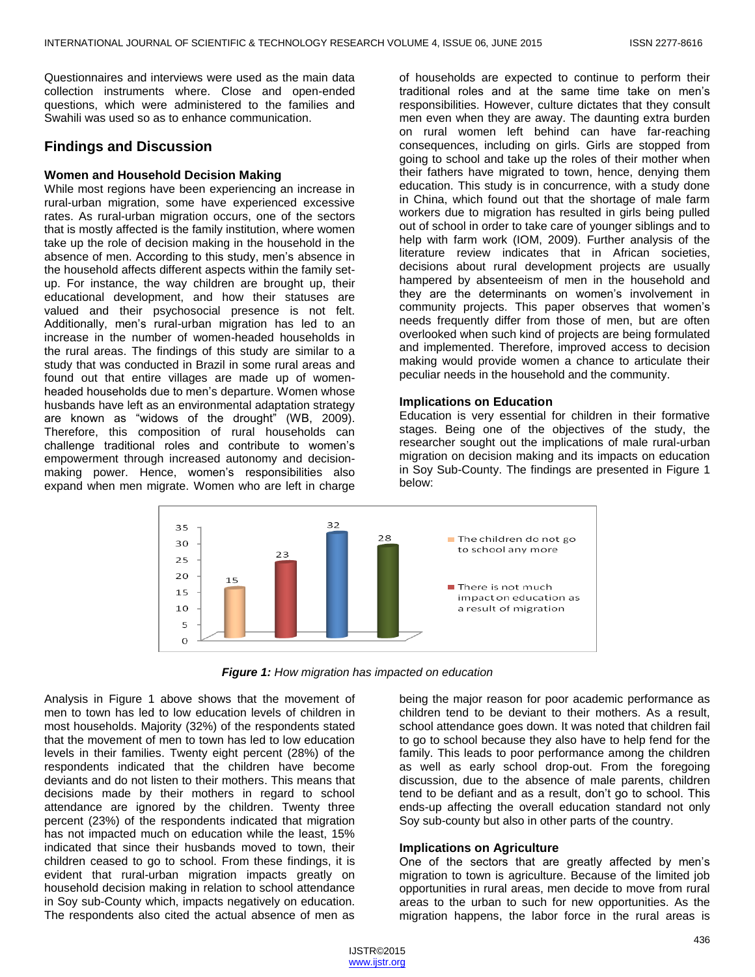Questionnaires and interviews were used as the main data collection instruments where. Close and open-ended questions, which were administered to the families and Swahili was used so as to enhance communication.

## **Findings and Discussion**

#### **Women and Household Decision Making**

While most regions have been experiencing an increase in rural-urban migration, some have experienced excessive rates. As rural-urban migration occurs, one of the sectors that is mostly affected is the family institution, where women take up the role of decision making in the household in the absence of men. According to this study, men's absence in the household affects different aspects within the family setup. For instance, the way children are brought up, their educational development, and how their statuses are valued and their psychosocial presence is not felt. Additionally, men's rural-urban migration has led to an increase in the number of women-headed households in the rural areas. The findings of this study are similar to a study that was conducted in Brazil in some rural areas and found out that entire villages are made up of womenheaded households due to men's departure. Women whose husbands have left as an environmental adaptation strategy are known as "widows of the drought" (WB, 2009). Therefore, this composition of rural households can challenge traditional roles and contribute to women's empowerment through increased autonomy and decisionmaking power. Hence, women's responsibilities also expand when men migrate. Women who are left in charge

of households are expected to continue to perform their traditional roles and at the same time take on men's responsibilities. However, culture dictates that they consult men even when they are away. The daunting extra burden on rural women left behind can have far-reaching consequences, including on girls. Girls are stopped from going to school and take up the roles of their mother when their fathers have migrated to town, hence, denying them education. This study is in concurrence, with a study done in China, which found out that the shortage of male farm workers due to migration has resulted in girls being pulled out of school in order to take care of younger siblings and to help with farm work (IOM, 2009). Further analysis of the literature review indicates that in African societies, decisions about rural development projects are usually hampered by absenteeism of men in the household and they are the determinants on women's involvement in community projects. This paper observes that women's needs frequently differ from those of men, but are often overlooked when such kind of projects are being formulated and implemented. Therefore, improved access to decision making would provide women a chance to articulate their peculiar needs in the household and the community.

#### **Implications on Education**

Education is very essential for children in their formative stages. Being one of the objectives of the study, the researcher sought out the implications of male rural-urban migration on decision making and its impacts on education in Soy Sub-County. The findings are presented in Figure 1 below:



*Figure 1: How migration has impacted on education*

Analysis in Figure 1 above shows that the movement of men to town has led to low education levels of children in most households. Majority (32%) of the respondents stated that the movement of men to town has led to low education levels in their families. Twenty eight percent (28%) of the respondents indicated that the children have become deviants and do not listen to their mothers. This means that decisions made by their mothers in regard to school attendance are ignored by the children. Twenty three percent (23%) of the respondents indicated that migration has not impacted much on education while the least, 15% indicated that since their husbands moved to town, their children ceased to go to school. From these findings, it is evident that rural-urban migration impacts greatly on household decision making in relation to school attendance in Soy sub-County which, impacts negatively on education. The respondents also cited the actual absence of men as

being the major reason for poor academic performance as children tend to be deviant to their mothers. As a result, school attendance goes down. It was noted that children fail to go to school because they also have to help fend for the family. This leads to poor performance among the children as well as early school drop-out. From the foregoing discussion, due to the absence of male parents, children tend to be defiant and as a result, don't go to school. This ends-up affecting the overall education standard not only Soy sub-county but also in other parts of the country.

## **Implications on Agriculture**

One of the sectors that are greatly affected by men's migration to town is agriculture. Because of the limited job opportunities in rural areas, men decide to move from rural areas to the urban to such for new opportunities. As the migration happens, the labor force in the rural areas is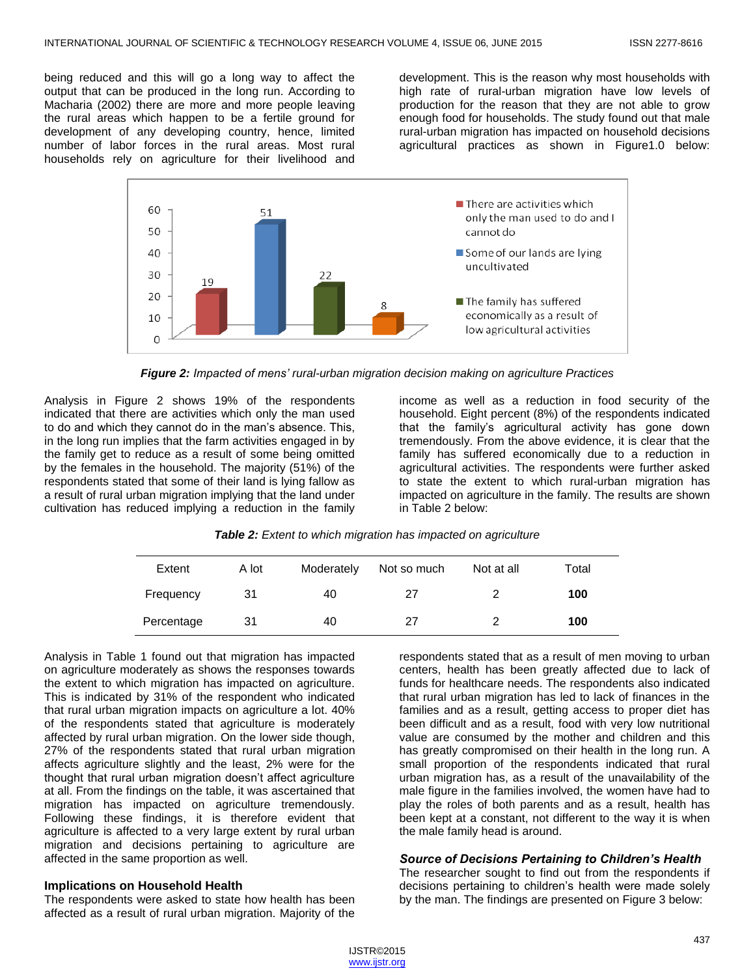being reduced and this will go a long way to affect the output that can be produced in the long run. According to Macharia (2002) there are more and more people leaving the rural areas which happen to be a fertile ground for development of any developing country, hence, limited number of labor forces in the rural areas. Most rural households rely on agriculture for their livelihood and development. This is the reason why most households with high rate of rural-urban migration have low levels of production for the reason that they are not able to grow enough food for households. The study found out that male rural-urban migration has impacted on household decisions agricultural practices as shown in Figure1.0 below:



*Figure 2: Impacted of mens' rural-urban migration decision making on agriculture Practices*

Analysis in Figure 2 shows 19% of the respondents indicated that there are activities which only the man used to do and which they cannot do in the man's absence. This, in the long run implies that the farm activities engaged in by the family get to reduce as a result of some being omitted by the females in the household. The majority (51%) of the respondents stated that some of their land is lying fallow as a result of rural urban migration implying that the land under cultivation has reduced implying a reduction in the family

income as well as a reduction in food security of the household. Eight percent (8%) of the respondents indicated that the family's agricultural activity has gone down tremendously. From the above evidence, it is clear that the family has suffered economically due to a reduction in agricultural activities. The respondents were further asked to state the extent to which rural-urban migration has impacted on agriculture in the family. The results are shown in Table 2 below:

| Table 2: Extent to which migration has impacted on agriculture |  |  |  |
|----------------------------------------------------------------|--|--|--|
|----------------------------------------------------------------|--|--|--|

| Extent     | A lot | Moderately | Not so much | Not at all | Total |
|------------|-------|------------|-------------|------------|-------|
| Frequency  | 31    | 40         | 27          |            | 100   |
| Percentage | 31    | 40         | 27          |            | 100   |

Analysis in Table 1 found out that migration has impacted on agriculture moderately as shows the responses towards the extent to which migration has impacted on agriculture. This is indicated by 31% of the respondent who indicated that rural urban migration impacts on agriculture a lot. 40% of the respondents stated that agriculture is moderately affected by rural urban migration. On the lower side though, 27% of the respondents stated that rural urban migration affects agriculture slightly and the least, 2% were for the thought that rural urban migration doesn't affect agriculture at all. From the findings on the table, it was ascertained that migration has impacted on agriculture tremendously. Following these findings, it is therefore evident that agriculture is affected to a very large extent by rural urban migration and decisions pertaining to agriculture are affected in the same proportion as well.

## **Implications on Household Health**

The respondents were asked to state how health has been affected as a result of rural urban migration. Majority of the respondents stated that as a result of men moving to urban centers, health has been greatly affected due to lack of funds for healthcare needs. The respondents also indicated that rural urban migration has led to lack of finances in the families and as a result, getting access to proper diet has been difficult and as a result, food with very low nutritional value are consumed by the mother and children and this has greatly compromised on their health in the long run. A small proportion of the respondents indicated that rural urban migration has, as a result of the unavailability of the male figure in the families involved, the women have had to play the roles of both parents and as a result, health has been kept at a constant, not different to the way it is when the male family head is around.

## *Source of Decisions Pertaining to Children's Health*

The researcher sought to find out from the respondents if decisions pertaining to children's health were made solely by the man. The findings are presented on Figure 3 below: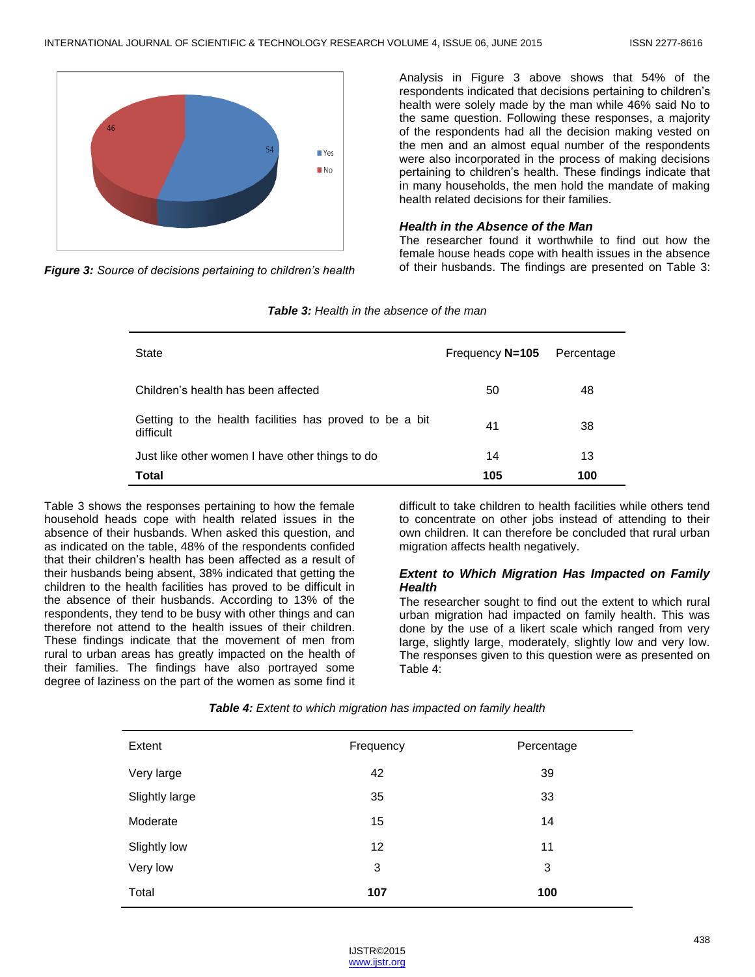

*Figure 3: Source of decisions pertaining to children's health*

Analysis in Figure 3 above shows that 54% of the respondents indicated that decisions pertaining to children's health were solely made by the man while 46% said No to the same question. Following these responses, a majority of the respondents had all the decision making vested on the men and an almost equal number of the respondents were also incorporated in the process of making decisions pertaining to children's health. These findings indicate that in many households, the men hold the mandate of making health related decisions for their families.

#### *Health in the Absence of the Man*

The researcher found it worthwhile to find out how the female house heads cope with health issues in the absence of their husbands. The findings are presented on Table 3:

| State                                                                | Frequency N=105 | Percentage |
|----------------------------------------------------------------------|-----------------|------------|
| Children's health has been affected                                  | 50              | 48         |
| Getting to the health facilities has proved to be a bit<br>difficult | 41              | 38         |
| Just like other women I have other things to do                      | 14              | 13         |
| Total                                                                | 105             | 100        |

Table 3 shows the responses pertaining to how the female household heads cope with health related issues in the absence of their husbands. When asked this question, and as indicated on the table, 48% of the respondents confided that their children's health has been affected as a result of their husbands being absent, 38% indicated that getting the children to the health facilities has proved to be difficult in the absence of their husbands. According to 13% of the respondents, they tend to be busy with other things and can therefore not attend to the health issues of their children. These findings indicate that the movement of men from rural to urban areas has greatly impacted on the health of their families. The findings have also portrayed some degree of laziness on the part of the women as some find it difficult to take children to health facilities while others tend to concentrate on other jobs instead of attending to their own children. It can therefore be concluded that rural urban migration affects health negatively.

## *Extent to Which Migration Has Impacted on Family Health*

The researcher sought to find out the extent to which rural urban migration had impacted on family health. This was done by the use of a likert scale which ranged from very large, slightly large, moderately, slightly low and very low. The responses given to this question were as presented on Table 4:

| Extent         | Frequency | Percentage |
|----------------|-----------|------------|
| Very large     | 42        | 39         |
| Slightly large | 35        | 33         |
| Moderate       | 15        | 14         |
| Slightly low   | 12        | 11         |
| Very low       | 3         | 3          |
| Total          | 107       | 100        |

*Table 4: Extent to which migration has impacted on family health*